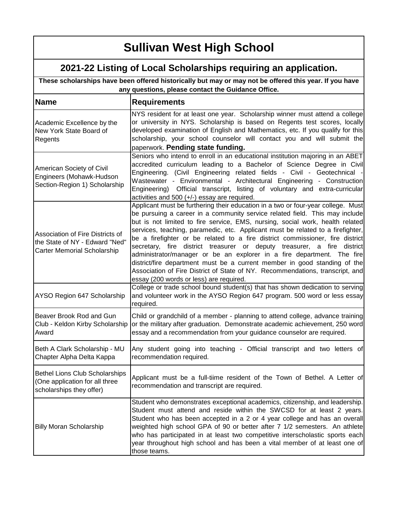| These scholarships have been offered historically but may or may not be offered this year. If you have<br>any questions, please contact the Guidance Office. |                                                                                                                                                                                                                                                                                                                                                                                                                                                                                                                                                                                                                                                                                                                                                                                       |
|--------------------------------------------------------------------------------------------------------------------------------------------------------------|---------------------------------------------------------------------------------------------------------------------------------------------------------------------------------------------------------------------------------------------------------------------------------------------------------------------------------------------------------------------------------------------------------------------------------------------------------------------------------------------------------------------------------------------------------------------------------------------------------------------------------------------------------------------------------------------------------------------------------------------------------------------------------------|
| <b>Name</b>                                                                                                                                                  | <b>Requirements</b>                                                                                                                                                                                                                                                                                                                                                                                                                                                                                                                                                                                                                                                                                                                                                                   |
| Academic Excellence by the<br>New York State Board of<br>Regents                                                                                             | NYS resident for at least one year. Scholarship winner must attend a college<br>or university in NYS. Scholarship is based on Regents test scores, locally<br>developed examination of English and Mathematics, etc. If you qualify for this<br>scholarship, your school counselor will contact you and will submit the<br>paperwork. Pending state funding.                                                                                                                                                                                                                                                                                                                                                                                                                          |
| American Society of Civil<br>Engineers (Mohawk-Hudson<br>Section-Region 1) Scholarship                                                                       | Seniors who intend to enroll in an educational institution majoring in an ABET<br>accredited curriculum leading to a Bachelor of Science Degree in Civil<br>Engineering. (Civil Engineering related fields - Civil - Geotechnical -<br>Wastewater - Environmental - Architectural Engineering - Construction<br>Engineering) Official transcript, listing of voluntary and extra-curricular<br>activities and 500 (+/-) essay are required.                                                                                                                                                                                                                                                                                                                                           |
| Association of Fire Districts of<br>the State of NY - Edward "Ned"<br><b>Carter Memorial Scholarship</b>                                                     | Applicant must be furthering their education in a two or four-year college. Must<br>be pursuing a career in a community service related field. This may include<br>but is not limited to fire service, EMS, nursing, social work, health related<br>services, teaching, paramedic, etc. Applicant must be related to a firefighter,<br>be a firefighter or be related to a fire district commissioner, fire district<br>secretary, fire district treasurer or deputy treasurer, a fire<br>district<br>administrator/manager or be an explorer in a fire department. The fire<br>district/fire department must be a current member in good standing of the<br>Association of Fire District of State of NY. Recommendations, transcript, and<br>essay (200 words or less) are required. |
| AYSO Region 647 Scholarship                                                                                                                                  | College or trade school bound student(s) that has shown dedication to serving<br>and volunteer work in the AYSO Region 647 program. 500 word or less essay<br>required.                                                                                                                                                                                                                                                                                                                                                                                                                                                                                                                                                                                                               |
| Beaver Brook Rod and Gun<br>Club - Keldon Kirby Scholarship<br>Award                                                                                         | Child or grandchild of a member - planning to attend college, advance training<br>or the military after graduation. Demonstrate academic achievement, 250 word<br>essay and a recommendation from your guidance counselor are required.                                                                                                                                                                                                                                                                                                                                                                                                                                                                                                                                               |
| Beth A Clark Scholarship - MU<br>Chapter Alpha Delta Kappa                                                                                                   | Any student going into teaching - Official transcript and two letters of<br>recommendation required.                                                                                                                                                                                                                                                                                                                                                                                                                                                                                                                                                                                                                                                                                  |
| <b>Bethel Lions Club Scholarships</b><br>(One application for all three<br>scholarships they offer)                                                          | Applicant must be a full-tiime resident of the Town of Bethel. A Letter of<br>recommendation and transcript are required.                                                                                                                                                                                                                                                                                                                                                                                                                                                                                                                                                                                                                                                             |
| <b>Billy Moran Scholarship</b>                                                                                                                               | Student who demonstrates exceptional academics, citizenship, and leadership.<br>Student must attend and reside within the SWCSD for at least 2 years.<br>Student who has been accepted in a 2 or 4 year college and has an overall<br>weighted high school GPA of 90 or better after 7 1/2 semesters. An athlete<br>who has participated in at least two competitive interscholastic sports each<br>year throughout high school and has been a vital member of at least one of<br>those teams.                                                                                                                                                                                                                                                                                        |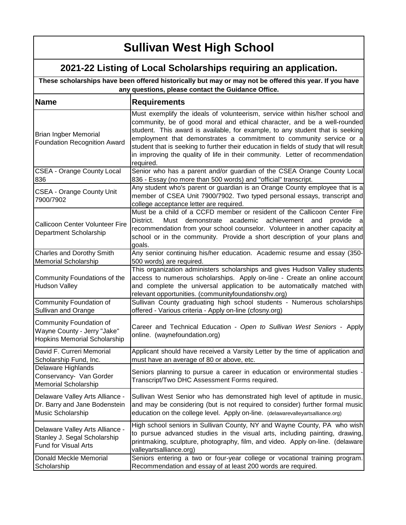| These scholarships have been offered historically but may or may not be offered this year. If you have<br>any questions, please contact the Guidance Office. |                                                                                                                                                                                                                                                                                                                                                                                                                                                                                                          |
|--------------------------------------------------------------------------------------------------------------------------------------------------------------|----------------------------------------------------------------------------------------------------------------------------------------------------------------------------------------------------------------------------------------------------------------------------------------------------------------------------------------------------------------------------------------------------------------------------------------------------------------------------------------------------------|
| <b>Name</b>                                                                                                                                                  | <b>Requirements</b>                                                                                                                                                                                                                                                                                                                                                                                                                                                                                      |
| <b>Brian Ingber Memorial</b><br><b>Foundation Recognition Award</b>                                                                                          | Must exemplify the ideals of volunteerism, service within his/her school and<br>community, be of good moral and ethical character, and be a well-rounded<br>student. This award is available, for example, to any student that is seeking<br>employment that demonstrates a commitment to community service or a<br>student that is seeking to further their education in fields of study that will result<br>in improving the quality of life in their community. Letter of recommendation<br>required. |
| <b>CSEA - Orange County Local</b><br>836                                                                                                                     | Senior who has a parent and/or guardian of the CSEA Orange County Local<br>836 - Essay (no more than 500 words) and "official" transcript.                                                                                                                                                                                                                                                                                                                                                               |
| <b>CSEA - Orange County Unit</b><br>7900/7902                                                                                                                | Any student who's parent or guardian is an Orange County employee that is a<br>member of CSEA Unit 7900/7902. Two typed personal essays, transcript and<br>college acceptance letter are required.                                                                                                                                                                                                                                                                                                       |
| <b>Callicoon Center Volunteer Fire</b><br>Department Scholarship                                                                                             | Must be a child of a CCFD member or resident of the Callicoon Center Fire<br>District.<br>academic<br>Must<br>demonstrate<br>achievement<br>provide<br>and<br>recommendation from your school counselor. Volunteer in another capacity at<br>school or in the community. Provide a short description of your plans and<br>goals.                                                                                                                                                                         |
| Charles and Dorothy Smith                                                                                                                                    | Any senior continuing his/her education. Academic resume and essay (350-                                                                                                                                                                                                                                                                                                                                                                                                                                 |
| <b>Memorial Scholarship</b><br>Community Foundations of the<br><b>Hudson Valley</b>                                                                          | 500 words) are required.<br>This organization administers scholarships and gives Hudson Valley students<br>access to numerous scholarships. Apply on-line - Create an online account<br>and complete the universal application to be automatically matched with<br>relevant opportunities. (communityfoundationshv.org)                                                                                                                                                                                  |
| Community Foundation of<br>Sullivan and Orange                                                                                                               | Sullivan County graduating high school students - Numerous scholarships<br>offered - Various criteria - Apply on-line (cfosny.org)                                                                                                                                                                                                                                                                                                                                                                       |
| Community Foundation of<br>Wayne County - Jerry "Jake"<br><b>Hopkins Memorial Scholarship</b>                                                                | Career and Technical Education - Open to Sullivan West Seniors - Apply<br>online. (waynefoundation.org)                                                                                                                                                                                                                                                                                                                                                                                                  |
| David F. Curreri Memorial<br>Scholarship Fund, Inc.                                                                                                          | Applicant should have received a Varsity Letter by the time of application and<br>must have an average of 80 or above, etc.                                                                                                                                                                                                                                                                                                                                                                              |
| Delaware Highlands<br>Conservancy- Van Gorder<br><b>Memorial Scholarship</b>                                                                                 | Seniors planning to pursue a career in education or environmental studies -<br>Transcript/Two DHC Assessment Forms required.                                                                                                                                                                                                                                                                                                                                                                             |
| Delaware Valley Arts Alliance -<br>Dr. Barry and Jane Bodenstein<br>Music Scholarship                                                                        | Sullivan West Senior who has demonstrated high level of aptitude in music,<br>and may be considering (but is not required to consider) further formal music<br>education on the college level. Apply on-line. (delawarevalleyartsalliance.org)                                                                                                                                                                                                                                                           |
| Delaware Valley Arts Alliance -<br>Stanley J. Segal Scholarship<br><b>Fund for Visual Arts</b>                                                               | High school seniors in Sullivan County, NY and Wayne County, PA who wish<br>to pursue advanced studies in the visual arts, including painting, drawing,<br>printmaking, sculpture, photography, film, and video. Apply on-line. (delaware<br>valleyartsalliance.org)                                                                                                                                                                                                                                     |
| Donald Meckle Memorial<br>Scholarship                                                                                                                        | Seniors entering a two or four-year college or vocational training program.<br>Recommendation and essay of at least 200 words are required.                                                                                                                                                                                                                                                                                                                                                              |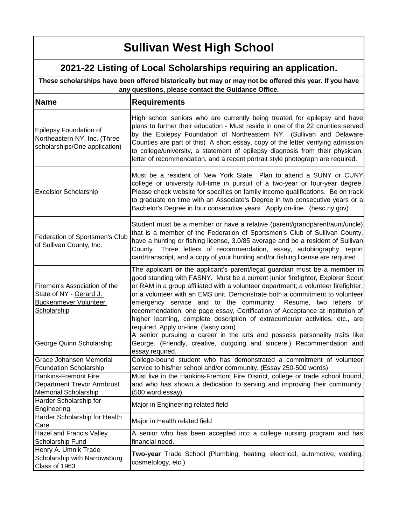| These scholarships have been offered historically but may or may not be offered this year. If you have<br>any questions, please contact the Guidance Office. |                                                                                                                                                                                                                                                                                                                                                                                                                                                                                                                                                                                                                |
|--------------------------------------------------------------------------------------------------------------------------------------------------------------|----------------------------------------------------------------------------------------------------------------------------------------------------------------------------------------------------------------------------------------------------------------------------------------------------------------------------------------------------------------------------------------------------------------------------------------------------------------------------------------------------------------------------------------------------------------------------------------------------------------|
| <b>Name</b>                                                                                                                                                  | <b>Requirements</b>                                                                                                                                                                                                                                                                                                                                                                                                                                                                                                                                                                                            |
| Epilepsy Foundation of<br>Northeastern NY, Inc. (Three<br>scholarships/One application)                                                                      | High school seniors who are currently being treated for epilepsy and have<br>plans to further their education - Must reside in one of the 22 counties served<br>by the Epilepsy Foundation of Northeastern NY. (Sullivan and Delaware<br>Counties are part of this) A short essay, copy of the letter verifying admission<br>to college/university, a statement of epilepsy diagnosis from their physician,<br>letter of recommendation, and a recent portrait style photograph are required.                                                                                                                  |
| <b>Excelsior Scholarship</b>                                                                                                                                 | Must be a resident of New York State. Plan to attend a SUNY or CUNY<br>college or university full-time in pursuit of a two-year or four-year degree.<br>Please check website for specifics on family income qualifications. Be on track<br>to graduate on time with an Associate's Degree in two consecutive years or a<br>Bachelor's Degree in four consecutive years. Apply on-line. (hesc.ny.gov)                                                                                                                                                                                                           |
| Federation of Sportsmen's Club<br>of Sullivan County, Inc.                                                                                                   | Student must be a member or have a relative (parent/grandparent/aunt/uncle)<br>that is a member of the Federation of Sportsmen's Club of Sullivan County,<br>have a hunting or fishing license, 3.0/85 average and be a resident of Sullivan<br>County. Three letters of recommendation, essay, autobiography, report<br>card/transcript, and a copy of your hunting and/or fishing license are required.                                                                                                                                                                                                      |
| Firemen's Association of the<br>State of NY - Gerard J.<br>Buckenmeyer Volunteer<br><b>Scholarship</b>                                                       | The applicant or the applicant's parent/legal guardian must be a member in<br>good standing with FASNY. Must be a current junior firefighter, Explorer Scout<br>or RAM in a group affiliated with a volunteer department; a volunteer firefighter;<br>or a volunteer with an EMS unit. Demonstrate both a commitment to volunteer<br>emergency service and to the community. Resume, two letters of<br>recommendation, one page essay, Certification of Acceptance at institution of<br>higher learning, complete description of extracurricular activities, etc., are<br>required. Apply on-line. (fasny.com) |
| George Quinn Scholarship                                                                                                                                     | A senior pursuing a career in the arts and possess personality traits like<br>George. (Friendly, creative, outgoing and sincere.) Recommendation and<br>essay required.                                                                                                                                                                                                                                                                                                                                                                                                                                        |
| Grace Johansen Memorial                                                                                                                                      | College-bound student who has demonstrated a commitment of volunteer                                                                                                                                                                                                                                                                                                                                                                                                                                                                                                                                           |
| <b>Foundation Scholarship</b>                                                                                                                                | service to his/her school and/or community. (Essay 250-500 words)                                                                                                                                                                                                                                                                                                                                                                                                                                                                                                                                              |
| <b>Hankins-Fremont Fire</b><br><b>Department Trevor Armbrust</b>                                                                                             | Must live in the Hankins-Fremont Fire District, college or trade school bound,<br>and who has shown a dedication to serving and improving their community.                                                                                                                                                                                                                                                                                                                                                                                                                                                     |
| <b>Memorial Scholarship</b>                                                                                                                                  | (500 word essay)                                                                                                                                                                                                                                                                                                                                                                                                                                                                                                                                                                                               |
| Harder Scholarship for                                                                                                                                       |                                                                                                                                                                                                                                                                                                                                                                                                                                                                                                                                                                                                                |
| Engineering                                                                                                                                                  | Major in Engineering related field                                                                                                                                                                                                                                                                                                                                                                                                                                                                                                                                                                             |
| Harder Scholarship for Health<br>Care                                                                                                                        | Major in Health related field                                                                                                                                                                                                                                                                                                                                                                                                                                                                                                                                                                                  |
| Hazel and Francis Valley                                                                                                                                     | A senior who has been accepted into a college nursing program and has                                                                                                                                                                                                                                                                                                                                                                                                                                                                                                                                          |
| Scholarship Fund                                                                                                                                             | financial need.                                                                                                                                                                                                                                                                                                                                                                                                                                                                                                                                                                                                |
| Henry A. Umnik Trade<br>Scholarship with Narrowsburg<br>Class of 1963                                                                                        | Two-year Trade School (Plumbing, heating, electrical, automotive, welding,<br>cosmetology, etc.)                                                                                                                                                                                                                                                                                                                                                                                                                                                                                                               |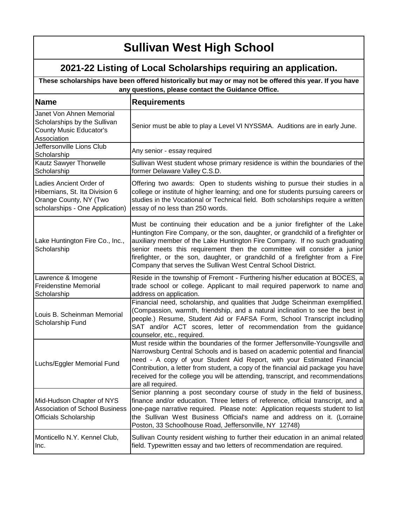### **2021-22 Listing of Local Scholarships requiring an application.**

**These scholarships have been offered historically but may or may not be offered this year. If you have any questions, please contact the Guidance Office.**

| <b>Name</b>                                                                                                            | <b>Requirements</b>                                                                                                                                                                                                                                                                                                                                                                                                                                                         |
|------------------------------------------------------------------------------------------------------------------------|-----------------------------------------------------------------------------------------------------------------------------------------------------------------------------------------------------------------------------------------------------------------------------------------------------------------------------------------------------------------------------------------------------------------------------------------------------------------------------|
| Janet Von Ahnen Memorial<br>Scholarships by the Sullivan<br><b>County Music Educator's</b><br>Association              | Senior must be able to play a Level VI NYSSMA. Auditions are in early June.                                                                                                                                                                                                                                                                                                                                                                                                 |
| Jeffersonville Lions Club<br>Scholarship                                                                               | Any senior - essay required                                                                                                                                                                                                                                                                                                                                                                                                                                                 |
| Kautz Sawyer Thorwelle<br>Scholarship                                                                                  | Sullivan West student whose primary residence is within the boundaries of the<br>former Delaware Valley C.S.D.                                                                                                                                                                                                                                                                                                                                                              |
| Ladies Ancient Order of<br>Hibernians, St. Ita Division 6<br>Orange County, NY (Two<br>scholarships - One Application) | Offering two awards: Open to students wishing to pursue their studies in a<br>college or institute of higher learning; and one for students pursuing careers or<br>studies in the Vocational or Technical field. Both scholarships require a written<br>essay of no less than 250 words.                                                                                                                                                                                    |
| Lake Huntington Fire Co., Inc.,<br>Scholarship                                                                         | Must be continuing their education and be a junior firefighter of the Lake<br>Huntington Fire Company, or the son, daughter, or grandchild of a firefighter or<br>auxiliary member of the Lake Huntington Fire Company. If no such graduating<br>senior meets this requirement then the committee will consider a junior<br>firefighter, or the son, daughter, or grandchild of a firefighter from a Fire<br>Company that serves the Sullivan West Central School District. |
| Lawrence & Imogene<br><b>Freidenstine Memorial</b><br>Scholarship                                                      | Reside in the township of Fremont - Furthering his/her education at BOCES, a<br>trade school or college. Applicant to mail required paperwork to name and<br>address on application.                                                                                                                                                                                                                                                                                        |
| Louis B. Scheinman Memorial<br>Scholarship Fund                                                                        | Financial need, scholarship, and qualities that Judge Scheinman exemplified.<br>(Compassion, warmth, friendship, and a natural inclination to see the best in<br>people.) Resume, Student Aid or FAFSA Form, School Transcript including<br>SAT and/or ACT scores, letter of recommendation from the guidance<br>counselor, etc., required.                                                                                                                                 |
| Luchs/Eggler Memorial Fund                                                                                             | Must reside within the boundaries of the former Jeffersonville-Youngsville and<br>Narrowsburg Central Schools and is based on academic potential and financial<br>need - A copy of your Student Aid Report, with your Estimated Financial<br>Contribution, a letter from student, a copy of the financial aid package you have<br>received for the college you will be attending, transcript, and recommendations<br>are all required.                                      |
| Mid-Hudson Chapter of NYS<br><b>Association of School Business</b><br><b>Officials Scholarship</b>                     | Senior planning a post secondary course of study in the field of business,<br>finance and/or education. Three letters of reference, official transcript, and a<br>one-page narrative required. Please note: Application requests student to list<br>the Sullivan West Business Official's name and address on it. (Lorraine<br>Poston, 33 Schoolhouse Road, Jeffersonville, NY 12748)                                                                                       |
| Monticello N.Y. Kennel Club,<br>Inc.                                                                                   | Sullivan County resident wishing to further their education in an animal related<br>field. Typewritten essay and two letters of recommendation are required.                                                                                                                                                                                                                                                                                                                |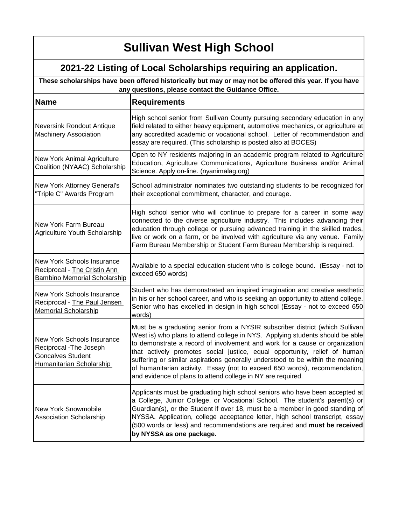| These scholarships have been offered historically but may or may not be offered this year. If you have<br>any questions, please contact the Guidance Office. |                                                                                                                                                                                                                                                                                                                                                                                                                                                                                                                                                          |
|--------------------------------------------------------------------------------------------------------------------------------------------------------------|----------------------------------------------------------------------------------------------------------------------------------------------------------------------------------------------------------------------------------------------------------------------------------------------------------------------------------------------------------------------------------------------------------------------------------------------------------------------------------------------------------------------------------------------------------|
| <b>Name</b>                                                                                                                                                  | <b>Requirements</b>                                                                                                                                                                                                                                                                                                                                                                                                                                                                                                                                      |
| Neversink Rondout Antique<br><b>Machinery Association</b>                                                                                                    | High school senior from Sullivan County pursuing secondary education in any<br>field related to either heavy equipment, automotive mechanics, or agriculture at<br>any accredited academic or vocational school. Letter of recommendation and<br>essay are required. (This scholarship is posted also at BOCES)                                                                                                                                                                                                                                          |
| New York Animal Agriculture<br>Coalition (NYAAC) Scholarship                                                                                                 | Open to NY residents majoring in an academic program related to Agriculture<br>Education, Agriculture Communications, Agriculture Business and/or Animal<br>Science. Apply on-line. (nyanimalag.org)                                                                                                                                                                                                                                                                                                                                                     |
| New York Attorney General's<br>"Triple C" Awards Program                                                                                                     | School administrator nominates two outstanding students to be recognized for<br>their exceptional commitment, character, and courage.                                                                                                                                                                                                                                                                                                                                                                                                                    |
| New York Farm Bureau<br>Agriculture Youth Scholarship                                                                                                        | High school senior who will continue to prepare for a career in some way<br>connected to the diverse agriculture industry. This includes advancing their<br>education through college or pursuing advanced training in the skilled trades,<br>live or work on a farm, or be involved with agriculture via any venue. Family<br>Farm Bureau Membership or Student Farm Bureau Membership is required.                                                                                                                                                     |
| New York Schools Insurance<br>Reciprocal - The Cristin Ann<br>Bambino Memorial Scholarship                                                                   | Available to a special education student who is college bound. (Essay - not to<br>exceed 650 words)                                                                                                                                                                                                                                                                                                                                                                                                                                                      |
| New York Schools Insurance<br>Reciprocal - The Paul Jensen<br><b>Memorial Scholarship</b>                                                                    | Student who has demonstrated an inspired imagination and creative aesthetic<br>in his or her school career, and who is seeking an opportunity to attend college.<br>Senior who has excelled in design in high school (Essay - not to exceed 650<br>words)                                                                                                                                                                                                                                                                                                |
| New York Schools Insurance<br>Reciprocal - The Joseph<br><b>Goncalves Student</b><br>Humanitarian Scholarship                                                | Must be a graduating senior from a NYSIR subscriber district (which Sullivan<br>West is) who plans to attend college in NYS. Applying students should be able<br>to demonstrate a record of involvement and work for a cause or organization<br>that actively promotes social justice, equal opportunity, relief of human<br>suffering or similar aspirations generally understood to be within the meaning<br>of humanitarian activity. Essay (not to exceed 650 words), recommendation,<br>and evidence of plans to attend college in NY are required. |
| <b>New York Snowmobile</b><br><b>Association Scholarship</b>                                                                                                 | Applicants must be graduating high school seniors who have been accepted at<br>a College, Junior College, or Vocational School. The student's parent(s) or<br>Guardian(s), or the Student if over 18, must be a member in good standing of<br>NYSSA. Application, college acceptance letter, high school transcript, essay<br>(500 words or less) and recommendations are required and must be received<br>by NYSSA as one package.                                                                                                                      |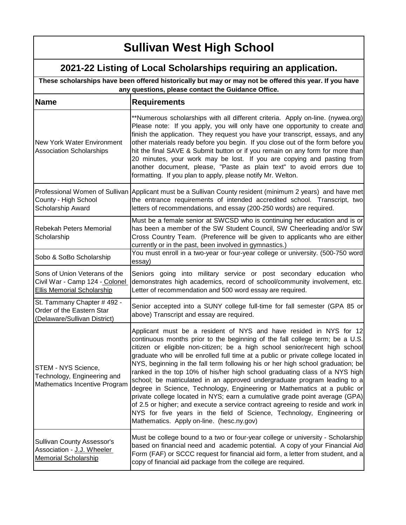| These scholarships have been offered historically but may or may not be offered this year. If you have<br>any questions, please contact the Guidance Office. |                                                                                                                                                                                                                                                                                                                                                                                                                                                                                                                                                                                                                                                                                                                                                                                                                                                                                                                                            |
|--------------------------------------------------------------------------------------------------------------------------------------------------------------|--------------------------------------------------------------------------------------------------------------------------------------------------------------------------------------------------------------------------------------------------------------------------------------------------------------------------------------------------------------------------------------------------------------------------------------------------------------------------------------------------------------------------------------------------------------------------------------------------------------------------------------------------------------------------------------------------------------------------------------------------------------------------------------------------------------------------------------------------------------------------------------------------------------------------------------------|
| <b>Name</b>                                                                                                                                                  | <b>Requirements</b>                                                                                                                                                                                                                                                                                                                                                                                                                                                                                                                                                                                                                                                                                                                                                                                                                                                                                                                        |
| <b>New York Water Environment</b><br><b>Association Scholarships</b>                                                                                         | **Numerous scholarships with all different criteria. Apply on-line. (nywea.org)<br>Please note: If you apply, you will only have one opportunity to create and<br>finish the application. They request you have your transcript, essays, and any<br>other materials ready before you begin. If you close out of the form before you<br>hit the final SAVE & Submit button or if you remain on any form for more than<br>20 minutes, your work may be lost. If you are copying and pasting from<br>another document, please, "Paste as plain text" to avoid errors due to<br>formatting. If you plan to apply, please notify Mr. Welton.                                                                                                                                                                                                                                                                                                    |
| County - High School<br>Scholarship Award                                                                                                                    | Professional Women of Sullivan Applicant must be a Sullivan County resident (minimum 2 years) and have met<br>the entrance requirements of intended accredited school. Transcript, two<br>letters of recommendations, and essay (200-250 words) are required.                                                                                                                                                                                                                                                                                                                                                                                                                                                                                                                                                                                                                                                                              |
| <b>Rebekah Peters Memorial</b><br>Scholarship                                                                                                                | Must be a female senior at SWCSD who is continuing her education and is or<br>has been a member of the SW Student Council, SW Cheerleading and/or SW<br>Cross Country Team. (Preference will be given to applicants who are either<br>currently or in the past, been involved in gymnastics.)                                                                                                                                                                                                                                                                                                                                                                                                                                                                                                                                                                                                                                              |
| Sobo & SoBo Scholarship                                                                                                                                      | You must enroll in a two-year or four-year college or university. (500-750 word<br>essay)                                                                                                                                                                                                                                                                                                                                                                                                                                                                                                                                                                                                                                                                                                                                                                                                                                                  |
| Sons of Union Veterans of the<br>Civil War - Camp 124 - Colonel<br><b>Ellis Memorial Scholarship</b>                                                         | Seniors going into military service or post secondary education who<br>demonstrates high academics, record of school/community involvement, etc.<br>Letter of recommendation and 500 word essay are required.                                                                                                                                                                                                                                                                                                                                                                                                                                                                                                                                                                                                                                                                                                                              |
| St. Tammany Chapter # 492 -<br>Order of the Eastern Star<br>(Delaware/Sullivan District)                                                                     | Senior accepted into a SUNY college full-time for fall semester (GPA 85 or<br>above) Transcript and essay are required.                                                                                                                                                                                                                                                                                                                                                                                                                                                                                                                                                                                                                                                                                                                                                                                                                    |
| STEM - NYS Science,<br>Technology, Engineering and<br>Mathematics Incentive Program                                                                          | Applicant must be a resident of NYS and have resided in NYS for 12<br>continuous months prior to the beginning of the fall college term; be a U.S.<br>citizen or eligible non-citizen; be a high school senior/recent high school<br>graduate who will be enrolled full time at a public or private college located in<br>NYS, beginning in the fall term following his or her high school graduation; be<br>ranked in the top 10% of his/her high school graduating class of a NYS high<br>school; be matriculated in an approved undergraduate program leading to a<br>degree in Science, Technology, Engineering or Mathematics at a public or<br>private college located in NYS; earn a cumulative grade point average (GPA)<br>of 2.5 or higher; and execute a service contract agreeing to reside and work in<br>NYS for five years in the field of Science, Technology, Engineering or<br>Mathematics. Apply on-line. (hesc.ny.gov) |
| <b>Sullivan County Assessor's</b><br>Association - J.J. Wheeler<br><b>Memorial Scholarship</b>                                                               | Must be college bound to a two or four-year college or university - Scholarship<br>based on financial need and academic potential. A copy of your Financial Aid<br>Form (FAF) or SCCC request for financial aid form, a letter from student, and a<br>copy of financial aid package from the college are required.                                                                                                                                                                                                                                                                                                                                                                                                                                                                                                                                                                                                                         |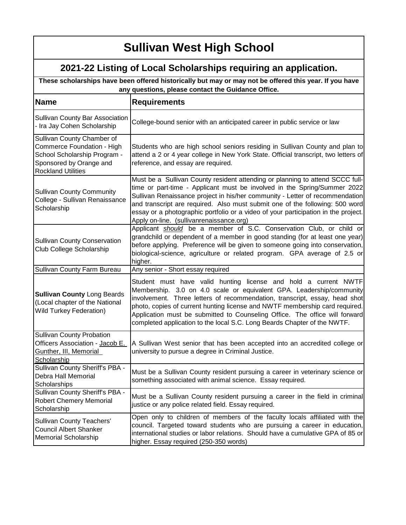| These scholarships have been offered historically but may or may not be offered this year. If you have<br>any questions, please contact the Guidance Office. |                                                                                                                                                                                                                                                                                                                                                                                                                                                                 |
|--------------------------------------------------------------------------------------------------------------------------------------------------------------|-----------------------------------------------------------------------------------------------------------------------------------------------------------------------------------------------------------------------------------------------------------------------------------------------------------------------------------------------------------------------------------------------------------------------------------------------------------------|
| <b>Name</b>                                                                                                                                                  | <b>Requirements</b>                                                                                                                                                                                                                                                                                                                                                                                                                                             |
| Sullivan County Bar Association<br>- Ira Jay Cohen Scholarship                                                                                               | College-bound senior with an anticipated career in public service or law                                                                                                                                                                                                                                                                                                                                                                                        |
| Sullivan County Chamber of<br>Commerce Foundation - High<br>School Scholarship Program -<br>Sponsored by Orange and<br><b>Rockland Utilities</b>             | Students who are high school seniors residing in Sullivan County and plan to<br>attend a 2 or 4 year college in New York State. Official transcript, two letters of<br>reference, and essay are required.                                                                                                                                                                                                                                                       |
| <b>Sullivan County Community</b><br>College - Sullivan Renaissance<br>Scholarship                                                                            | Must be a Sullivan County resident attending or planning to attend SCCC full-<br>time or part-time - Applicant must be involved in the Spring/Summer 2022<br>Sullivan Renaissance project in his/her community - Letter of recommendation<br>and transcript are required. Also must submit one of the following: 500 word<br>essay or a photographic portfolio or a video of your participation in the project.<br>Apply on-line. (sullivanrenaissance.org)     |
| <b>Sullivan County Conservation</b><br>Club College Scholarship                                                                                              | Applicant should be a member of S.C. Conservation Club, or child or<br>grandchild or dependent of a member in good standing (for at least one year)<br>before applying. Preference will be given to someone going into conservation,<br>biological-science, agriculture or related program. GPA average of 2.5 or<br>higher.                                                                                                                                    |
| Sullivan County Farm Bureau                                                                                                                                  | Any senior - Short essay required                                                                                                                                                                                                                                                                                                                                                                                                                               |
| <b>Sullivan County Long Beards</b><br>(Local chapter of the National<br><b>Wild Turkey Federation)</b>                                                       | Student must have valid hunting license and hold a current NWTF<br>Membership. 3.0 on 4.0 scale or equivalent GPA. Leadership/community<br>involvement. Three letters of recommendation, transcript, essay, head shot<br>photo, copies of current hunting license and NWTF membership card required.<br>Application must be submitted to Counseling Office. The office will forward<br>completed application to the local S.C. Long Beards Chapter of the NWTF. |
| <b>Sullivan County Probation</b><br>Officers Association - Jacob E.<br>Gunther, III, Memorial<br>Scholarship                                                 | A Sullivan West senior that has been accepted into an accredited college or<br>university to pursue a degree in Criminal Justice.                                                                                                                                                                                                                                                                                                                               |
| Sullivan County Sheriff's PBA -<br>Debra Hall Memorial<br>Scholarships                                                                                       | Must be a Sullivan County resident pursuing a career in veterinary science or<br>something associated with animal science. Essay required.                                                                                                                                                                                                                                                                                                                      |
| Sullivan County Sheriff's PBA -<br><b>Robert Chemery Memorial</b><br>Scholarship                                                                             | Must be a Sullivan County resident pursuing a career in the field in criminal<br>justice or any police related field. Essay required.                                                                                                                                                                                                                                                                                                                           |
| <b>Sullivan County Teachers'</b><br><b>Council Albert Shanker</b><br>Memorial Scholarship                                                                    | Open only to children of members of the faculty locals affiliated with the<br>council. Targeted toward students who are pursuing a career in education,<br>international studies or labor relations. Should have a cumulative GPA of 85 or<br>higher. Essay required (250-350 words)                                                                                                                                                                            |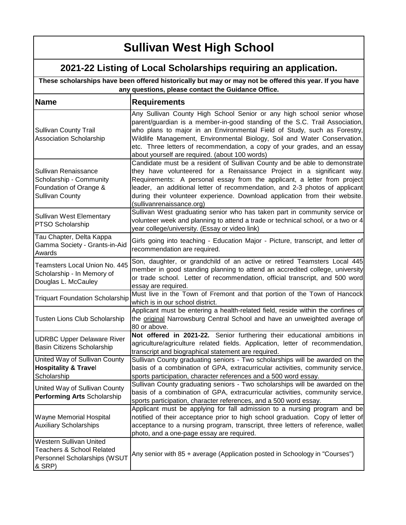| These scholarships have been offered historically but may or may not be offered this year. If you have<br>any questions, please contact the Guidance Office. |                                                                                                                                                                                                                                                                                                                                                                                                                                                                                                          |
|--------------------------------------------------------------------------------------------------------------------------------------------------------------|----------------------------------------------------------------------------------------------------------------------------------------------------------------------------------------------------------------------------------------------------------------------------------------------------------------------------------------------------------------------------------------------------------------------------------------------------------------------------------------------------------|
| <b>Name</b>                                                                                                                                                  | <b>Requirements</b>                                                                                                                                                                                                                                                                                                                                                                                                                                                                                      |
| <b>Sullivan County Trail</b><br><b>Association Scholarship</b>                                                                                               | Any Sullivan County High School Senior or any high school senior whose<br>parent/guardian is a member-in-good standing of the S.C. Trail Association,<br>who plans to major in an Environmental Field of Study, such as Forestry,<br>Wildlife Management, Environmental Biology, Soil and Water Conservation,<br>etc. Three letters of recommendation, a copy of your grades, and an essay<br>about yourself are required. (about 100 words)                                                             |
| Sullivan Renaissance<br>Scholarship - Community<br>Foundation of Orange &<br><b>Sullivan County</b>                                                          | Candidate must be a resident of Sullivan County and be able to demonstrate<br>they have volunteered for a Renaissance Project in a significant way.<br>Requirements: A personal essay from the applicant, a letter from project<br>leader, an additional letter of recommendation, and 2-3 photos of applicant<br>during their volunteer experience. Download application from their website.<br>(sullivanrenaissance.org)<br>Sullivan West graduating senior who has taken part in community service or |
| <b>Sullivan West Elementary</b><br>PTSO Scholarship                                                                                                          | volunteer week and planning to attend a trade or technical school, or a two or 4<br>year college/university. (Essay or video link)                                                                                                                                                                                                                                                                                                                                                                       |
| Tau Chapter, Delta Kappa<br>Gamma Society - Grants-in-Aid<br>Awards                                                                                          | Girls going into teaching - Education Major - Picture, transcript, and letter of<br>recommendation are required.                                                                                                                                                                                                                                                                                                                                                                                         |
| Teamsters Local Union No. 445<br>Scholarship - In Memory of<br>Douglas L. McCauley                                                                           | Son, daughter, or grandchild of an active or retired Teamsters Local 445<br>member in good standing planning to attend an accredited college, university<br>or trade school. Letter of recommendation, official transcript, and 500 word<br>essay are required.                                                                                                                                                                                                                                          |
| <b>Triquart Foundation Scholarship</b>                                                                                                                       | Must live in the Town of Fremont and that portion of the Town of Hancock<br>which is in our school district.                                                                                                                                                                                                                                                                                                                                                                                             |
| Tusten Lions Club Scholarship                                                                                                                                | Applicant must be entering a health-related field, reside within the confines of<br>the original Narrowsburg Central School and have an unweighted average of<br>80 or above.                                                                                                                                                                                                                                                                                                                            |
| <b>UDRBC Upper Delaware River</b><br>Basin Citizens Scholarship                                                                                              | Not offered in 2021-22. Senior furthering their educational ambitions in<br>agriculture/agriculture related fields. Application, letter of recommendation,<br>transcript and biographical statement are required.                                                                                                                                                                                                                                                                                        |
| United Way of Sullivan County<br><b>Hospitality &amp; Travel</b><br>Scholarship                                                                              | Sullivan County graduating seniors - Two scholarships will be awarded on the<br>basis of a combination of GPA, extracurricular activities, community service,<br>sports participation, character references and a 500 word essay.                                                                                                                                                                                                                                                                        |
| United Way of Sullivan County<br>Performing Arts Scholarship                                                                                                 | Sullivan County graduating seniors - Two scholarships will be awarded on the<br>basis of a combination of GPA, extracurricular activities, community service,<br>sports participation, character references, and a 500 word essay.                                                                                                                                                                                                                                                                       |
| <b>Wayne Memorial Hospital</b><br><b>Auxiliary Scholarships</b>                                                                                              | Applicant must be applying for fall admission to a nursing program and be<br>notified of their acceptance prior to high school graduation. Copy of letter of<br>acceptance to a nursing program, transcript, three letters of reference, wallet<br>photo, and a one-page essay are required.                                                                                                                                                                                                             |
| Western Sullivan United<br><b>Teachers &amp; School Related</b><br>Personnel Scholarships (WSUT<br>& SRP)                                                    | Any senior with 85 + average (Application posted in Schoology in "Courses")                                                                                                                                                                                                                                                                                                                                                                                                                              |